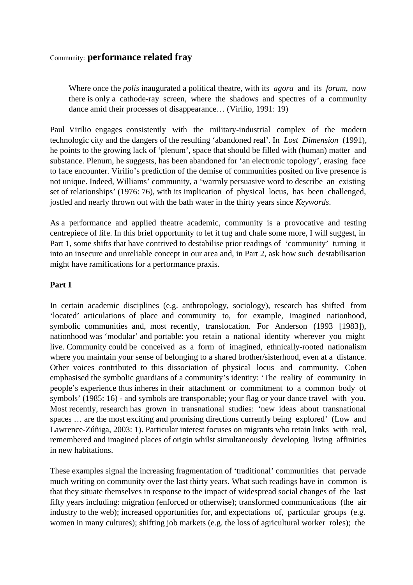# Community: **performance related fray**

Where once the *polis* inaugurated a political theatre, with its *agora* and its *forum*, now there is only a cathode-ray screen, where the shadows and spectres of a community dance amid their processes of disappearance… (Virilio, 1991: 19)

Paul Virilio engages consistently with the military-industrial complex of the modern technologic city and the dangers of the resulting 'abandoned real'. In *Lost Dimension* (1991), he points to the growing lack of 'plenum', space that should be filled with (human) matter and substance. Plenum, he suggests, has been abandoned for 'an electronic topology', erasing face to face encounter. Virilio's prediction of the demise of communities posited on live presence is not unique. Indeed, Williams' community, a 'warmly persuasive word to describe an existing set of relationships' (1976: 76), with its implication of physical locus, has been challenged, jostled and nearly thrown out with the bath water in the thirty years since *Keywords*.

As a performance and applied theatre academic, community is a provocative and testing centrepiece of life. In this brief opportunity to let it tug and chafe some more, I will suggest, in Part 1, some shifts that have contrived to destabilise prior readings of 'community' turning it into an insecure and unreliable concept in our area and, in Part 2, ask how such destabilisation might have ramifications for a performance praxis.

## **Part 1**

In certain academic disciplines (e.g. anthropology, sociology), research has shifted from 'located' articulations of place and community to, for example, imagined nationhood, symbolic communities and, most recently, translocation. For Anderson (1993 [1983]), nationhood was 'modular' and portable: you retain a national identity wherever you might live. Community could be conceived as a form of imagined, ethnically-rooted nationalism where you maintain your sense of belonging to a shared brother/sisterhood, even at a distance. Other voices contributed to this dissociation of physical locus and community. Cohen emphasised the symbolic guardians of a community's identity: 'The reality of community in people's experience thus inheres in their attachment or commitment to a common body of symbols' (1985: 16) - and symbols are transportable; your flag or your dance travel with you. Most recently, research has grown in transnational studies: 'new ideas about transnational spaces … are the most exciting and promising directions currently being explored' (Low and Lawrence-Zúñiga, 2003: 1). Particular interest focuses on migrants who retain links with real, remembered and imagined places of origin whilst simultaneously developing living affinities in new habitations.

These examples signal the increasing fragmentation of 'traditional' communities that pervade much writing on community over the last thirty years. What such readings have in common is that they situate themselves in response to the impact of widespread social changes of the last fifty years including: migration (enforced or otherwise); transformed communications (the air industry to the web); increased opportunities for, and expectations of, particular groups (e.g. women in many cultures); shifting job markets (e.g. the loss of agricultural worker roles); the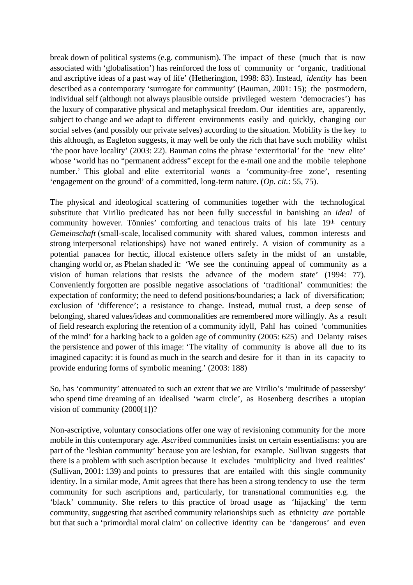break down of political systems (e.g. communism). The impact of these (much that is now associated with 'globalisation') has reinforced the loss of community or 'organic, traditional and ascriptive ideas of a past way of life' (Hetherington, 1998: 83). Instead, *identity* has been described as a contemporary 'surrogate for community' (Bauman, 2001: 15); the postmodern, individual self (although not always plausible outside privileged western 'democracies') has the luxury of comparative physical and metaphysical freedom. Our identities are, apparently, subject to change and we adapt to different environments easily and quickly, changing our social selves (and possibly our private selves) according to the situation. Mobility is the key to this although, as Eagleton suggests, it may well be only the rich that have such mobility whilst 'the poor have locality' (2003: 22). Bauman coins the phrase 'exterritorial' for the 'new elite' whose 'world has no "permanent address" except for the e-mail one and the mobile telephone number.' This global and elite exterritorial *wants* a 'community-free zone', resenting 'engagement on the ground' of a committed, long-term nature. (*Op. cit.*: 55, 75).

The physical and ideological scattering of communities together with the technological substitute that Virilio predicated has not been fully successful in banishing an *ideal* of community however. Tönnies' comforting and tenacious traits of his late 19<sup>th</sup> century *Gemeinschaft* (small-scale, localised community with shared values, common interests and strong interpersonal relationships) have not waned entirely. A vision of community as a potential panacea for hectic, illocal existence offers safety in the midst of an unstable, changing world or, as Phelan shaded it: 'We see the continuing appeal of community as a vision of human relations that resists the advance of the modern state' (1994: 77). Conveniently forgotten are possible negative associations of 'traditional' communities: the expectation of conformity; the need to defend positions/boundaries; a lack of diversification; exclusion of 'difference'; a resistance to change. Instead, mutual trust, a deep sense of belonging, shared values/ideas and commonalities are remembered more willingly. As a result of field research exploring the retention of a community idyll, Pahl has coined 'communities of the mind' for a harking back to a golden age of community (2005: 625) and Delanty raises the persistence and power of this image: 'The vitality of community is above all due to its imagined capacity: it is found as much in the search and desire for it than in its capacity to provide enduring forms of symbolic meaning.' (2003: 188)

So, has 'community' attenuated to such an extent that we are Virilio's 'multitude of passersby' who spend time dreaming of an idealised 'warm circle', as Rosenberg describes a utopian vision of community (2000[1])?

Non-ascriptive, voluntary consociations offer one way of revisioning community for the more mobile in this contemporary age. *Ascribed* communities insist on certain essentialisms: you are part of the 'lesbian community' because you are lesbian, for example. Sullivan suggests that there is a problem with such ascription because it excludes 'multiplicity and lived realities' (Sullivan, 2001: 139) and points to pressures that are entailed with this single community identity. In a similar mode, Amit agrees that there has been a strong tendency to use the term community for such ascriptions and, particularly, for transnational communities e.g. the 'black' community. She refers to this practice of broad usage as 'hijacking' the term community, suggesting that ascribed community relationships such as ethnicity *are* portable but that such a 'primordial moral claim' on collective identity can be 'dangerous' and even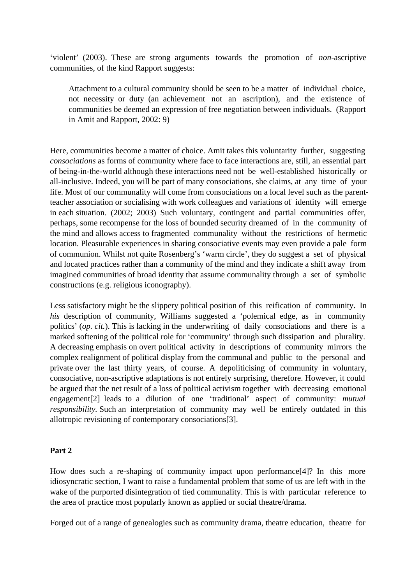'violent' (2003). These are strong arguments towards the promotion of *non*-ascriptive communities, of the kind Rapport suggests:

Attachment to a cultural community should be seen to be a matter of individual choice, not necessity or duty (an achievement not an ascription), and the existence of communities be deemed an expression of free negotiation between individuals. (Rapport in Amit and Rapport, 2002: 9)

Here, communities become a matter of choice. Amit takes this voluntarity further, suggesting *consociations* as forms of community where face to face interactions are, still, an essential part of being-in-the-world although these interactions need not be well-established historically or all-inclusive. Indeed, you will be part of many consociations, she claims, at any time of your life. Most of our communality will come from consociations on a local level such as the parentteacher association or socialising with work colleagues and variations of identity will emerge in each situation. (2002; 2003) Such voluntary, contingent and partial communities offer, perhaps, some recompense for the loss of bounded security dreamed of in the community of the mind and allows access to fragmented communality without the restrictions of hermetic location. Pleasurable experiences in sharing consociative events may even provide a pale form of communion. Whilst not quite Rosenberg's 'warm circle', they do suggest a set of physical and located practices rather than a community of the mind and they indicate a shift away from imagined communities of broad identity that assume communality through a set of symbolic constructions (e.g. religious iconography).

Less satisfactory might be the slippery political position of this reification of community. In *his* description of community, Williams suggested a 'polemical edge, as in community politics' (*op. cit.*). This is lacking in the underwriting of daily consociations and there is a marked softening of the political role for 'community' through such dissipation and plurality. A decreasing emphasis on overt political activity in descriptions of community mirrors the complex realignment of political display from the communal and public to the personal and private over the last thirty years, of course. A depoliticising of community in voluntary, consociative, non-ascriptive adaptations is not entirely surprising, therefore. However, it could be argued that the net result of a loss of political activism together with decreasing emotional engagement[2] leads to a dilution of one 'traditional' aspect of community: *mutual responsibility.* Such an interpretation of community may well be entirely outdated in this allotropic revisioning of contemporary consociations[3].

## **Part 2**

How does such a re-shaping of community impact upon performance[4]? In this more idiosyncratic section, I want to raise a fundamental problem that some of us are left with in the wake of the purported disintegration of tied communality. This is with particular reference to the area of practice most popularly known as applied or social theatre/drama.

Forged out of a range of genealogies such as community drama, theatre education, theatre for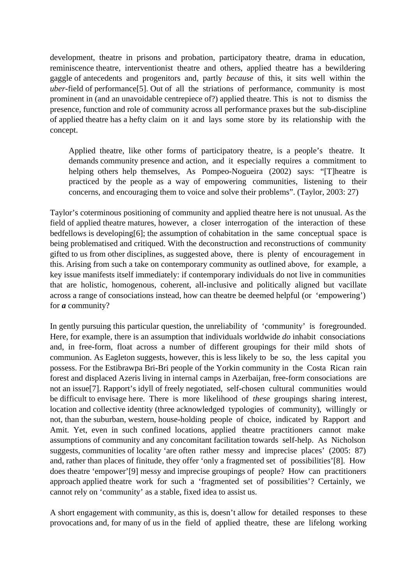development, theatre in prisons and probation, participatory theatre, drama in education, reminiscence theatre, interventionist theatre and others, applied theatre has a bewildering gaggle of antecedents and progenitors and, partly *because* of this, it sits well within the *uber*-field of performance<sup>[5]</sup>. Out of all the striations of performance, community is most prominent in (and an unavoidable centrepiece of?) applied theatre. This is not to dismiss the presence, function and role of community across all performance praxes but the sub-discipline of applied theatre has a hefty claim on it and lays some store by its relationship with the concept.

Applied theatre, like other forms of participatory theatre, is a people's theatre. It demands community presence and action, and it especially requires a commitment to helping others help themselves, As Pompeo-Nogueira (2002) says: "[T]heatre is practiced by the people as a way of empowering communities, listening to their concerns, and encouraging them to voice and solve their problems". (Taylor, 2003: 27)

Taylor's coterminous positioning of community and applied theatre here is not unusual. As the field of applied theatre matures, however, a closer interrogation of the interaction of these bedfellows is developing[6]; the assumption of cohabitation in the same conceptual space is being problematised and critiqued. With the deconstruction and reconstructions of community gifted to us from other disciplines, as suggested above, there is plenty of encouragement in this. Arising from such a take on contemporary community as outlined above, for example, a key issue manifests itself immediately: if contemporary individuals do not live in communities that are holistic, homogenous, coherent, all-inclusive and politically aligned but vacillate across a range of consociations instead, how can theatre be deemed helpful (or 'empowering') for *a* community?

In gently pursuing this particular question, the unreliability of 'community' is foregrounded. Here, for example, there is an assumption that individuals worldwide *do* inhabit consociations and, in free-form, float across a number of different groupings for their mild shots of communion. As Eagleton suggests, however, this is less likely to be so, the less capital you possess. For the Estibrawpa Bri-Bri people of the Yorkin community in the Costa Rican rain forest and displaced Azeris living in internal camps in Azerbaijan, free-form consociations are not an issue[7]. Rapport's idyll of freely negotiated, self-chosen cultural communities would be difficult to envisage here. There is more likelihood of *these* groupings sharing interest, location and collective identity (three acknowledged typologies of community), willingly or not, than the suburban, western, house-holding people of choice, indicated by Rapport and Amit. Yet, even in such confined locations, applied theatre practitioners cannot make assumptions of community and any concomitant facilitation towards self-help. As Nicholson suggests, communities of locality 'are often rather messy and imprecise places' (2005: 87) and, rather than places of finitude, they offer 'only a fragmented set of possibilities'[8]. How does theatre 'empower'[9] messy and imprecise groupings of people? How can practitioners approach applied theatre work for such a 'fragmented set of possibilities'? Certainly, we cannot rely on 'community' as a stable, fixed idea to assist us.

A short engagement with community, as this is, doesn't allow for detailed responses to these provocations and, for many of us in the field of applied theatre, these are lifelong working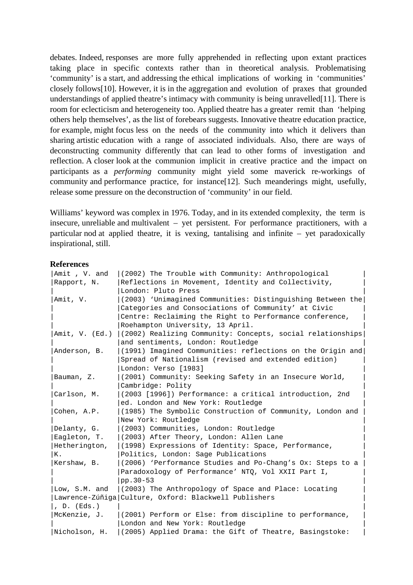debates. Indeed, responses are more fully apprehended in reflecting upon extant practices taking place in specific contexts rather than in theoretical analysis. Problematising 'community' is a start, and addressing the ethical implications of working in 'communities' closely follows[10]. However, it is in the aggregation and evolution of praxes that grounded understandings of applied theatre's intimacy with community is being unravelled[11]. There is room for eclecticism and heterogeneity too. Applied theatre has a greater remit than 'helping others help themselves', as the list of forebears suggests. Innovative theatre education practice, for example, might focus less on the needs of the community into which it delivers than sharing artistic education with a range of associated individuals. Also, there are ways of deconstructing community differently that can lead to other forms of investigation and reflection. A closer look at the communion implicit in creative practice and the impact on participants as a *performing* community might yield some maverick re-workings of community and performance practice, for instance[12]. Such meanderings might, usefully, release some pressure on the deconstruction of 'community' in our field.

Williams' keyword was complex in 1976. Today, and in its extended complexity, the term is insecure, unreliable and multivalent – yet persistent. For performance practitioners, with a particular nod at applied theatre, it is vexing, tantalising and infinite – yet paradoxically inspirational, still.

#### **References**

| Amit, V. and        | (2002) The Trouble with Community: Anthropological         |
|---------------------|------------------------------------------------------------|
| Rapport, N.         | Reflections in Movement, Identity and Collectivity,        |
|                     | London: Pluto Press                                        |
| Amit, V.            | (2003) 'Unimagined Communities: Distinguishing Between the |
|                     | Categories and Consociations of Community' at Civic        |
|                     | Centre: Reclaiming the Right to Performance conference,    |
|                     | Roehampton University, 13 April.                           |
| Amit, V. (Ed.)      | (2002) Realizing Community: Concepts, social relationships |
|                     | and sentiments, London: Routledge                          |
| Anderson, B.        | (1991) Imagined Communities: reflections on the Origin and |
|                     | Spread of Nationalism (revised and extended edition)       |
|                     | London: Verso [1983]                                       |
| Bauman, Z.          | (2001) Community: Seeking Safety in an Insecure World,     |
|                     | Cambridge: Polity                                          |
| Carlson, M.         | (2003 [1996]) Performance: a critical introduction, 2nd    |
|                     | ed. London and New York: Routledge                         |
| Cohen, A.P.         | (1985) The Symbolic Construction of Community, London and  |
|                     | New York: Routledge                                        |
| Delanty, G.         | (2003) Communities, London: Routledge                      |
| Eagleton, T.        | (2003) After Theory, London: Allen Lane                    |
| Hetherington,       | (1998) Expressions of Identity: Space, Performance,        |
| К.                  | Politics, London: Sage Publications                        |
| Kershaw, B.         | (2006) 'Performance Studies and Po-Chang's Ox: Steps to a  |
|                     | Paradoxology of Performance' NTQ, Vol XXII Part I,         |
|                     | pp. 30-53                                                  |
| Low, S.M. and       | (2003) The Anthropology of Space and Place: Locating       |
|                     | Lawrence-Zúñiga Culture, Oxford: Blackwell Publishers      |
| $\vert$ , D. (Eds.) |                                                            |
| McKenzie, J.        | (2001) Perform or Else: from discipline to performance,    |
|                     | London and New York: Routledge                             |
| Nicholson, H.       | (2005) Applied Drama: the Gift of Theatre, Basingstoke:    |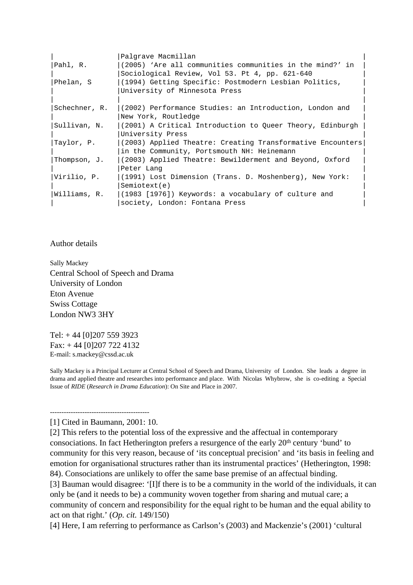|               | Palgrave Macmillan                                            |
|---------------|---------------------------------------------------------------|
| Pahl, R.      | (2005) 'Are all communities communities in the mind?' in      |
|               | Sociological Review, Vol 53. Pt 4, pp. 621-640                |
| Phelan, S     | (1994) Getting Specific: Postmodern Lesbian Politics,         |
|               | University of Minnesota Press                                 |
|               |                                                               |
| Schechner, R. | (2002) Performance Studies: an Introduction, London and       |
|               | New York, Routledge                                           |
| Sullivan, N.  | (2001) A Critical Introduction to Queer Theory, Edinburgh     |
|               | University Press                                              |
| Taylor, P.    | $ (2003)$ Applied Theatre: Creating Transformative Encounters |
|               | in the Community, Portsmouth NH: Heinemann                    |
| Thompson, J.  | (2003) Applied Theatre: Bewilderment and Beyond, Oxford       |
|               | Peter Lang                                                    |
| Virilio, P.   | $(1991)$ Lost Dimension (Trans. D. Moshenberg), New York:     |
|               | Semiotext(e)                                                  |
| Williams, R.  | (1983 [1976]) Keywords: a vocabulary of culture and           |
|               | society, London: Fontana Press                                |

Author details

Sally Mackey Central School of Speech and Drama University of London Eton Avenue Swiss Cottage London NW3 3HY

Tel: + 44 [0]207 559 3923 Fax: + 44 [0]207 722 4132 E-mail: s.mackey@cssd.ac.uk

Sally Mackey is a Principal Lecturer at Central School of Speech and Drama, University of London. She leads a degree in drama and applied theatre and researches into performance and place. With Nicolas Whybrow, she is co-editing a Special Issue of *RIDE* (*Research in Drama Education*): On Site and Place in 2007.

#### ------------------------------------------- [1] Cited in Baumann, 2001: 10.

[2] This refers to the potential loss of the expressive and the affectual in contemporary consociations. In fact Hetherington prefers a resurgence of the early 20<sup>th</sup> century 'bund' to community for this very reason, because of 'its conceptual precision' and 'its basis in feeling and emotion for organisational structures rather than its instrumental practices' (Hetherington, 1998: 84). Consociations are unlikely to offer the same base premise of an affectual binding.

[3] Bauman would disagree: '[I]f there is to be a community in the world of the individuals, it can only be (and it needs to be) a community woven together from sharing and mutual care; a community of concern and responsibility for the equal right to be human and the equal ability to act on that right.' (*Op. cit.* 149/150)

[4] Here, I am referring to performance as Carlson's (2003) and Mackenzie's (2001) 'cultural